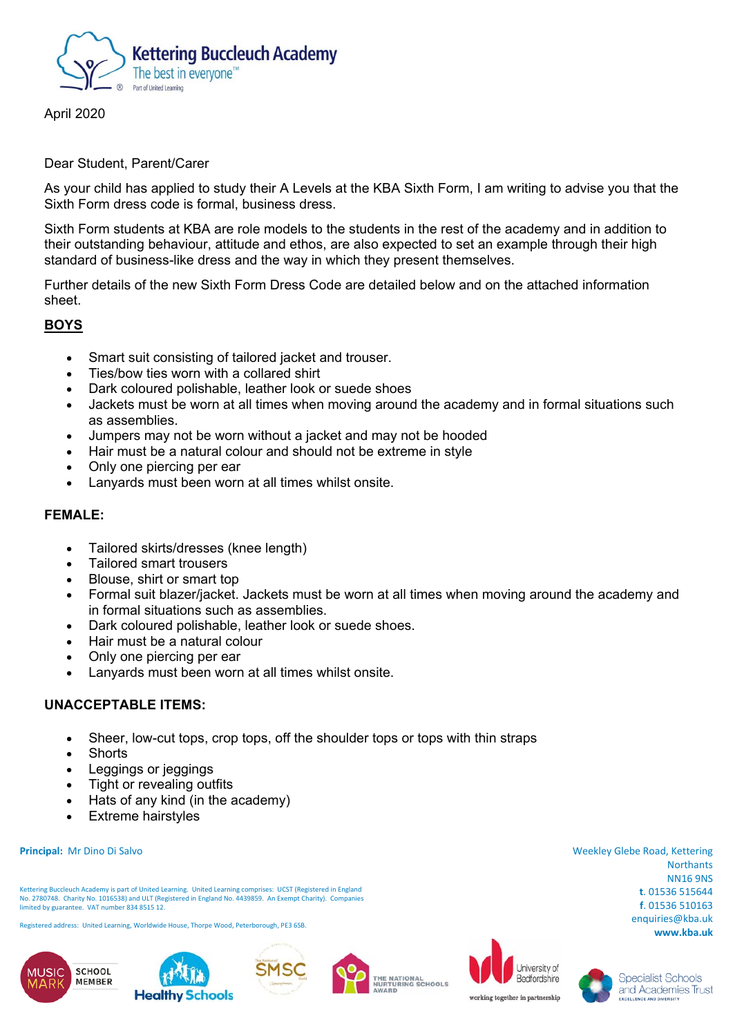

April 2020

#### Dear Student, Parent/Carer

As your child has applied to study their A Levels at the KBA Sixth Form, I am writing to advise you that the Sixth Form dress code is formal, business dress.

Sixth Form students at KBA are role models to the students in the rest of the academy and in addition to their outstanding behaviour, attitude and ethos, are also expected to set an example through their high standard of business-like dress and the way in which they present themselves.

Further details of the new Sixth Form Dress Code are detailed below and on the attached information sheet.

# **BOYS**

- Smart suit consisting of tailored jacket and trouser.
- Ties/bow ties worn with a collared shirt
- Dark coloured polishable, leather look or suede shoes
- Jackets must be worn at all times when moving around the academy and in formal situations such as assemblies.
- Jumpers may not be worn without a jacket and may not be hooded
- Hair must be a natural colour and should not be extreme in style
- Only one piercing per ear
- Lanyards must been worn at all times whilst onsite.

## **FEMALE:**

- Tailored skirts/dresses (knee length)
- Tailored smart trousers
- Blouse, shirt or smart top
- Formal suit blazer/jacket. Jackets must be worn at all times when moving around the academy and in formal situations such as assemblies.
- Dark coloured polishable, leather look or suede shoes.
- Hair must be a natural colour
- Only one piercing per ear
- Lanyards must been worn at all times whilst onsite.

## **UNACCEPTABLE ITEMS:**

- Sheer, low-cut tops, crop tops, off the shoulder tops or tops with thin straps
- Shorts
- Leggings or jeggings
- Tight or revealing outfits
- Hats of any kind (in the academy)
- Extreme hairstyles

#### **Principal:** Mr Dino Di Salvo

Kettering Buccleuch Academy is part of United Learning. United Learning comprises: UCST (Registered in England No. 2780748. Charity No. 1016538) and ULT (Registered in England No. 4439859. An Exempt Charity). Companies limited by guarantee. VAT number 834 8515 12.

Registered address: United Learning, Worldwide House, Thorpe Wood, Peterborough, PE3 6SB.













Weekley Glebe Road, Kettering



**Specialist Schools** and Academies Trust